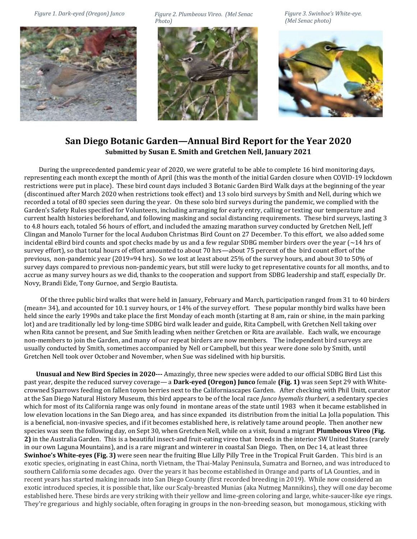

*Figure 2. Plumbeous Vireo. (Mel Senac Figure 1. Dark-eyed (Oregon) Junco Figure 3. Swinhoe's White-eye. Photo)*



*(Mel Senac photo)* 



## **San Diego Botanic Garden—Annual Bird Report for the Year 2020 Submitted by Susan E. Smith and Gretchen Nell, January 2021**

 During the unprecedented pandemic year of 2020, we were grateful to be able to complete 16 bird monitoring days, representing each month except the month of April (this was the month of the initial Garden closure when COVID-19 lockdown restrictions were put in place). These bird count days included 3 Botanic Garden Bird Walk days at the beginning of the year (discontinued after March 2020 when restrictions took effect) and 13 solo bird surveys by Smith and Nell, during which we recorded a total of 80 species seen during the year. On these solo bird surveys during the pandemic, we complied with the Garden's Safety Rules specified for Volunteers, including arranging for early entry, calling or texting our temperature and current health histories beforehand, and following masking and social distancing requirements. These bird surveys, lasting 3 to 4.8 hours each, totaled 56 hours of effort, and included the amazing marathon survey conducted by Gretchen Nell, Jeff Clingan and Manolo Turner for the local Audubon Christmas Bird Count on 27 December. To this effort, we also added some incidental eBird bird counts and spot checks made by us and a few regular SDBG member birders over the year  $\sim 14$  hrs of survey effort), so that total hours of effort amounted to about 70 hrs—about 75 percent of the bird count effort of the previous, non-pandemic year (2019=94 hrs). So we lost at least about 25% of the survey hours, and about 30 to 50% of survey days compared to previous non-pandemic years, but still were lucky to get representative counts for all months, and to accrue as many survey hours as we did, thanks to the cooperation and support from SDBG leadership and staff, especially Dr. Novy, Brandi Eide, Tony Gurnoe, and Sergio Bautista.

 Of the three public bird walks that were held in January, February and March, participation ranged from 31 to 40 birders (mean= 34), and accounted for 10.1 survey hours, or 14% of the survey effort. These popular monthly bird walks have been held since the early 1990s and take place the first Monday of each month (starting at 8 am, rain or shine, in the main parking lot) and are traditionally led by long-time SDBG bird walk leader and guide, Rita Campbell, with Gretchen Nell taking over when Rita cannot be present, and Sue Smith leading when neither Gretchen or Rita are available. Each walk, we encourage non-members to join the Garden, and many of our repeat birders are now members. The independent bird surveys are usually conducted by Smith, sometimes accompanied by Nell or Campbell, but this year were done solo by Smith, until Gretchen Nell took over October and November, when Sue was sidelined with hip bursitis.

 **Unusual and New Bird Species in 2020---** Amazingly, three new species were added to our official SDBG Bird List this past year, despite the reduced survey coverage— a **Dark-eyed (Oregon) Junco** female **(Fig. 1)** was seen Sept 29 with Whitecrowned Sparrows feeding on fallen toyon berries next to the Californiascapes Garden. After checking with Phil Unitt, curator at the San Diego Natural History Museum, this bird appears to be of the local race *Junco hyemalis thurberi*, a sedentary species which for most of its California range was only found in montane areas of the state until 1983 when it became established in low elevation locations in the San Diego area, and has since expanded its distribution from the initial La Jolla population. This is a beneficial, non-invasive species, and if it becomes established here, is relatively tame around people. Then another new species was seen the following day, on Sept 30, when Gretchen Nell, while on a visit, found a migrant **Plumbeous Vireo** (**Fig. 2)** in the Australia Garden. This is a beautiful insect-and fruit-eating vireo that breeds in the interior SW United States (rarely in our own Laguna Mountains), and is a rare migrant and winterer in coastal San Diego. Then, on Dec 14, at least three **Swinhoe's White-eyes (Fig. 3)** were seen near the fruiting Blue Lilly Pilly Tree in the Tropical Fruit Garden. This bird is an exotic species, originating in east China, north Vietnam, the Thai-Malay Peninsula, Sumatra and Borneo, and was introduced to southern California some decades ago. Over the years it has become established in Orange and parts of LA Counties, and in recent years has started making inroads into San Diego County (first recorded breeding in 2019). While now considered an exotic introduced species, it is possible that, like our Scaly-breasted Munias (aka Nutmeg Mannikins), they will one day become established here. These birds are very striking with their yellow and lime-green coloring and large, white-saucer-like eye rings. They're gregarious and highly sociable, often foraging in groups in the non-breeding season, but monogamous, sticking with